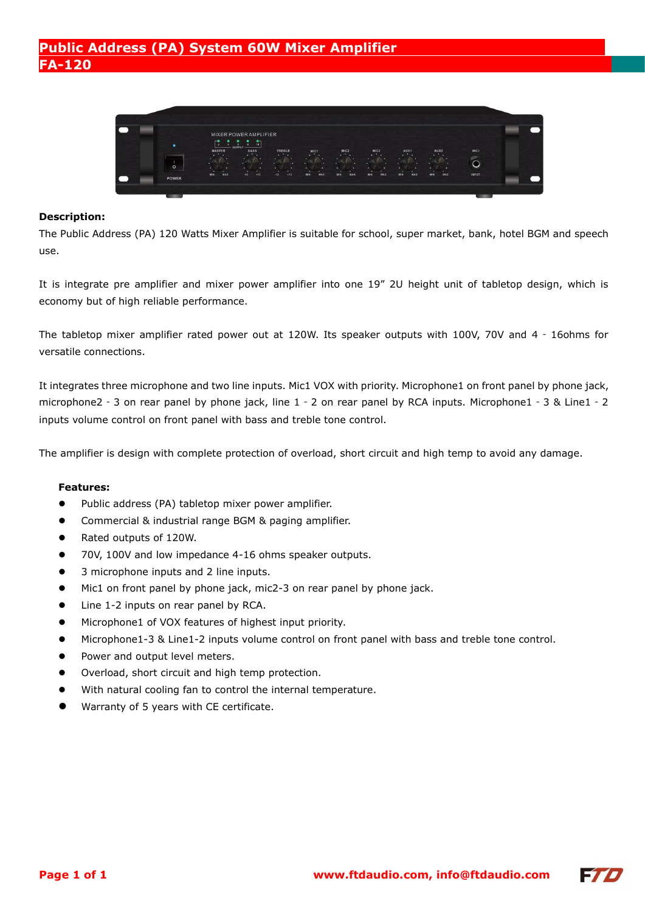# **Public Address (PA) System 60W Mixer Amplifier FA-120**



#### **Description:**

The Public Address (PA) 120 Watts Mixer Amplifier is suitable for school, super market, bank, hotel BGM and speech use.

It is integrate pre amplifier and mixer power amplifier into one 19" 2U height unit of tabletop design, which is economy but of high reliable performance.

The tabletop mixer amplifier rated power out at 120W. Its speaker outputs with 100V, 70V and 4 - 16ohms for versatile connections.

It integrates three microphone and two line inputs. Mic1 VOX with priority. Microphone1 on front panel by phone jack, microphone2‐3 on rear panel by phone jack, line 1‐2 on rear panel by RCA inputs. Microphone1‐3 & Line1‐2 inputs volume control on front panel with bass and treble tone control.

The amplifier is design with complete protection of overload, short circuit and high temp to avoid any damage.

#### **Features:**

- Public address (PA) tabletop mixer power amplifier.
- Commercial & industrial range BGM & paging amplifier.
- Rated outputs of 120W.
- 70V, 100V and low impedance 4-16 ohms speaker outputs.
- 3 microphone inputs and 2 line inputs.
- $\bullet$  Mic1 on front panel by phone jack, mic2-3 on rear panel by phone jack.
- Line 1-2 inputs on rear panel by RCA.
- Microphone1 of VOX features of highest input priority.
- Microphone1-3 & Line1-2 inputs volume control on front panel with bass and treble tone control.
- Power and output level meters.
- Overload, short circuit and high temp protection.
- With natural cooling fan to control the internal temperature.
- Warranty of 5 years with CE certificate.